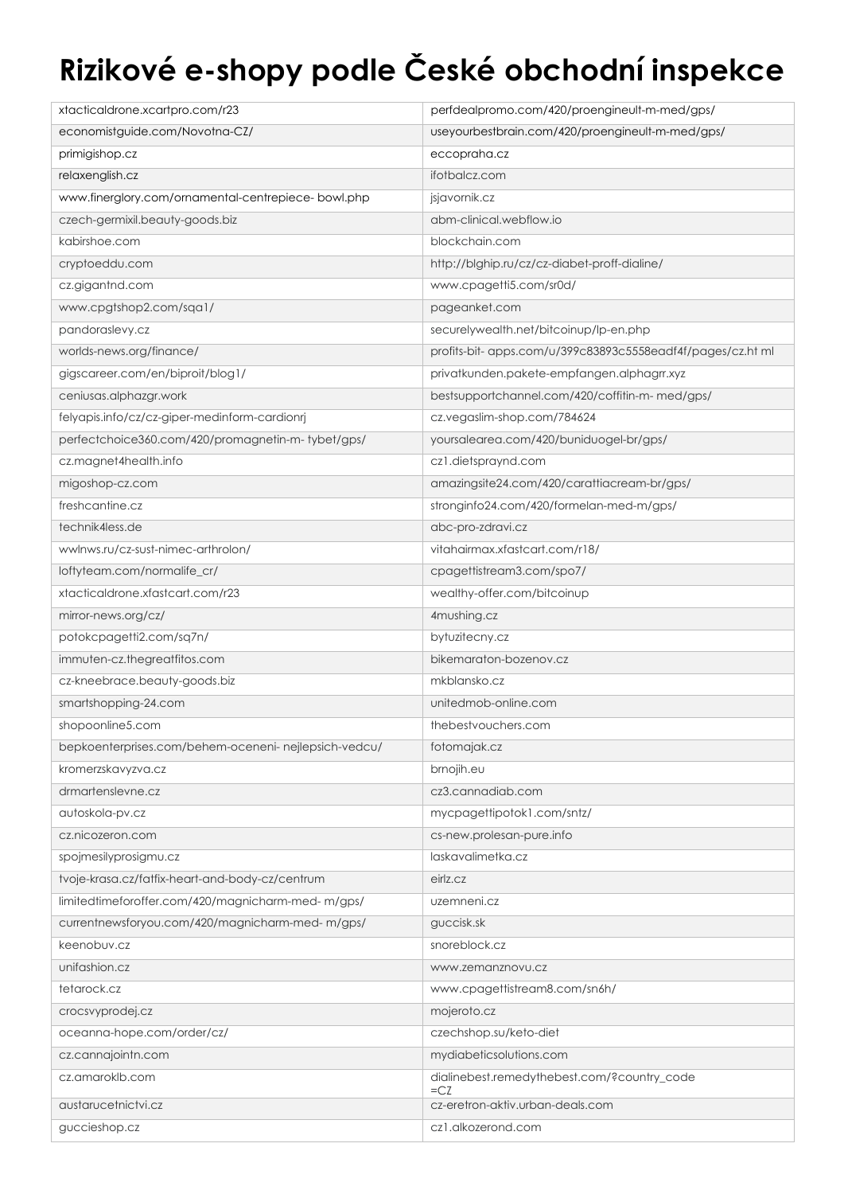## **Rizikové e-shopy podle České obchodní inspekce**

| xtacticaldrone.xcartpro.com/r23                       | perfdealpromo.com/420/proengineult-m-med/gps/               |
|-------------------------------------------------------|-------------------------------------------------------------|
| economistguide.com/Novotna-CZ/                        | useyourbestbrain.com/420/proengineult-m-med/gps/            |
| primigishop.cz                                        | eccopraha.cz                                                |
| relaxenglish.cz                                       | ifotbalcz.com                                               |
| www.finerglory.com/ornamental-centrepiece- bowl.php   | jsjavornik.cz                                               |
| czech-germixil.beauty-goods.biz                       | abm-clinical.webflow.io                                     |
| kabirshoe.com                                         | blockchain.com                                              |
| cryptoeddu.com                                        | http://blghip.ru/cz/cz-diabet-proff-dialine/                |
| cz.gigantnd.com                                       | www.cpagetti5.com/sr0d/                                     |
| www.cpgtshop2.com/sqa1/                               | pageanket.com                                               |
| pandoraslevy.cz                                       | securelywealth.net/bitcoinup/lp-en.php                      |
| worlds-news.org/finance/                              | profits-bit- apps.com/u/399c83893c5558eadf4f/pages/cz.ht ml |
| gigscareer.com/en/biproit/blog1/                      | privatkunden.pakete-empfangen.alphagrr.xyz                  |
| ceniusas.alphazgr.work                                | bestsupportchannel.com/420/coffitin-m-med/gps/              |
| felyapis.info/cz/cz-giper-medinform-cardionrj         | cz.vegaslim-shop.com/784624                                 |
| perfectchoice360.com/420/promagnetin-m-tybet/gps/     | yoursalearea.com/420/buniduogel-br/gps/                     |
| cz.magnet4health.info                                 | cz1.dietspraynd.com                                         |
| migoshop-cz.com                                       | amazingsite24.com/420/carattiacream-br/gps/                 |
| freshcantine.cz                                       | stronginfo24.com/420/formelan-med-m/gps/                    |
| technik4less.de                                       | abc-pro-zdravi.cz                                           |
| wwlnws.ru/cz-sust-nimec-arthrolon/                    | vitahairmax.xfastcart.com/r18/                              |
| loftyteam.com/normalife_cr/                           | cpagettistream3.com/spo7/                                   |
| xtacticaldrone.xfastcart.com/r23                      | wealthy-offer.com/bitcoinup                                 |
| mirror-news.org/cz/                                   | 4mushing.cz                                                 |
| potokcpagetti2.com/sq7n/                              | bytuzitecny.cz                                              |
| immuten-cz.thegreatfitos.com                          | bikemaraton-bozenov.cz                                      |
| cz-kneebrace.beauty-goods.biz                         | mkblansko.cz                                                |
| smartshopping-24.com                                  | unitedmob-online.com                                        |
| shopoonline5.com                                      | thebestyouchers.com                                         |
| bepkoenterprises.com/behem-oceneni- nejlepsich-vedcu/ | fotomajak.cz                                                |
| kromerzskavyzva.cz                                    | brnojih.eu                                                  |
| drmartenslevne.cz                                     | cz3.cannadiab.com                                           |
| autoskola-pv.cz                                       | mycpagettipotok1.com/sntz/                                  |
| cz.nicozeron.com                                      | cs-new.prolesan-pure.info                                   |
| spojmesilyprosigmu.cz                                 | laskavalimetka.cz                                           |
| tvoje-krasa.cz/fatfix-heart-and-body-cz/centrum       | eirlz.cz                                                    |
| limitedtimeforoffer.com/420/magnicharm-med-m/gps/     | uzemneni.cz                                                 |
| currentnewsforyou.com/420/magnicharm-med-m/gps/       | guccisk.sk                                                  |
| keenobuv.cz                                           | snoreblock.cz                                               |
| unifashion.cz                                         | www.zemanznovu.cz                                           |
| tetarock.cz                                           | www.cpagettistream8.com/sn6h/                               |
| crocsvyprodej.cz                                      | mojeroto.cz                                                 |
| oceanna-hope.com/order/cz/                            | czechshop.su/keto-diet                                      |
| cz.cannajointn.com                                    | mydiabeticsolutions.com                                     |
| cz.amaroklb.com                                       | dialinebest.remedythebest.com/?country_code<br>$=CZ$        |
| austarucetnictvi.cz                                   | cz-eretron-aktiv.urban-deals.com                            |
| guccieshop.cz                                         | cz1.alkozerond.com                                          |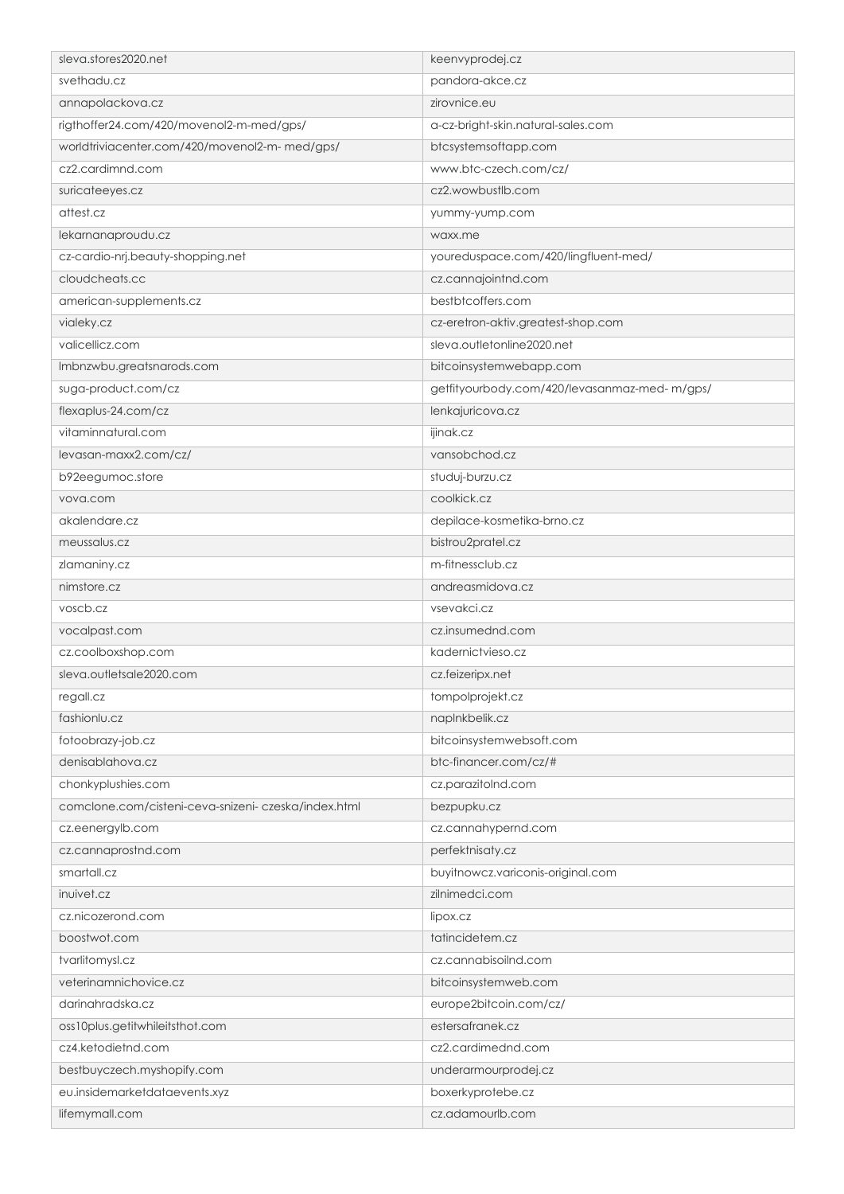| sleva.stores2020.net                                | keenvyprodej.cz                              |
|-----------------------------------------------------|----------------------------------------------|
| svethadu.cz                                         | pandora-akce.cz                              |
| annapolackova.cz                                    | zirovnice.eu                                 |
| rigthoffer24.com/420/movenol2-m-med/gps/            | a-cz-bright-skin.natural-sales.com           |
| worldtriviacenter.com/420/movenol2-m-med/gps/       | btcsystemsoftapp.com                         |
| cz2.cardimnd.com                                    | www.btc-czech.com/cz/                        |
| suricateeyes.cz                                     | cz2.wowbustlb.com                            |
| attest.cz                                           | yummy-yump.com                               |
| lekarnanaproudu.cz                                  | waxx.me                                      |
| cz-cardio-nrj.beauty-shopping.net                   | youreduspace.com/420/lingfluent-med/         |
| cloudcheats.cc                                      | cz.cannajointnd.com                          |
| american-supplements.cz                             | bestbtcoffers.com                            |
| vialeky.cz                                          | cz-eretron-aktiv.greatest-shop.com           |
| valicellicz.com                                     | sleva.outletonline2020.net                   |
| Imbnzwbu.greatsnarods.com                           | bitcoinsystemwebapp.com                      |
| suga-product.com/cz                                 | getfityourbody.com/420/levasanmaz-med-m/gps/ |
| flexaplus-24.com/cz                                 | lenkajuricova.cz                             |
| vitaminnatural.com                                  | ijinak.cz                                    |
| levasan-maxx2.com/cz/                               | vansobchod.cz                                |
| b92eegumoc.store                                    | studuj-burzu.cz                              |
| vova.com                                            | coolkick.cz                                  |
| akalendare.cz                                       | depilace-kosmetika-brno.cz                   |
| meussalus.cz                                        | bistrou2pratel.cz                            |
| zlamaniny.cz                                        | m-fitnessclub.cz                             |
| nimstore.cz                                         | andreasmidova.cz                             |
| voscb.cz                                            | vsevakci.cz                                  |
| vocalpast.com                                       | cz.insumednd.com                             |
| cz.coolboxshop.com                                  | kadernictvieso.cz                            |
| sleva.outletsale2020.com                            | cz.feizeripx.net                             |
| regall.cz                                           | tompolprojekt.cz                             |
| fashionlu.cz                                        | naplnkbelik.cz                               |
| fotoobrazy-job.cz                                   | bitcoinsystemwebsoft.com                     |
| denisablahova.cz                                    | btc-financer.com/cz/#                        |
| chonkyplushies.com                                  | cz.parazitolnd.com                           |
| comclone.com/cisteni-ceva-snizeni-czeska/index.html | bezpupku.cz                                  |
| cz.eenergylb.com                                    | cz.cannahypernd.com                          |
| cz.cannaprostnd.com                                 | perfektnisaty.cz                             |
| smartall.cz                                         | buyitnowcz.variconis-original.com            |
| inuivet.cz                                          | zilnimedci.com                               |
| cz.nicozerond.com                                   | lipox.cz                                     |
| boostwot.com                                        | tatincidetem.cz                              |
| tvarlitomysl.cz                                     | cz.cannabisoilnd.com                         |
| veterinamnichovice.cz                               | bitcoinsystemweb.com                         |
| darinahradska.cz                                    | europe2bitcoin.com/cz/                       |
| oss10plus.getitwhileitsthot.com                     | estersafranek.cz                             |
| cz4.ketodietnd.com                                  | cz2.cardimednd.com                           |
| bestbuyczech.myshopify.com                          | underarmourprodej.cz                         |
| eu.insidemarketdataevents.xyz                       | boxerkyprotebe.cz                            |
| lifemymall.com                                      | cz.adamourlb.com                             |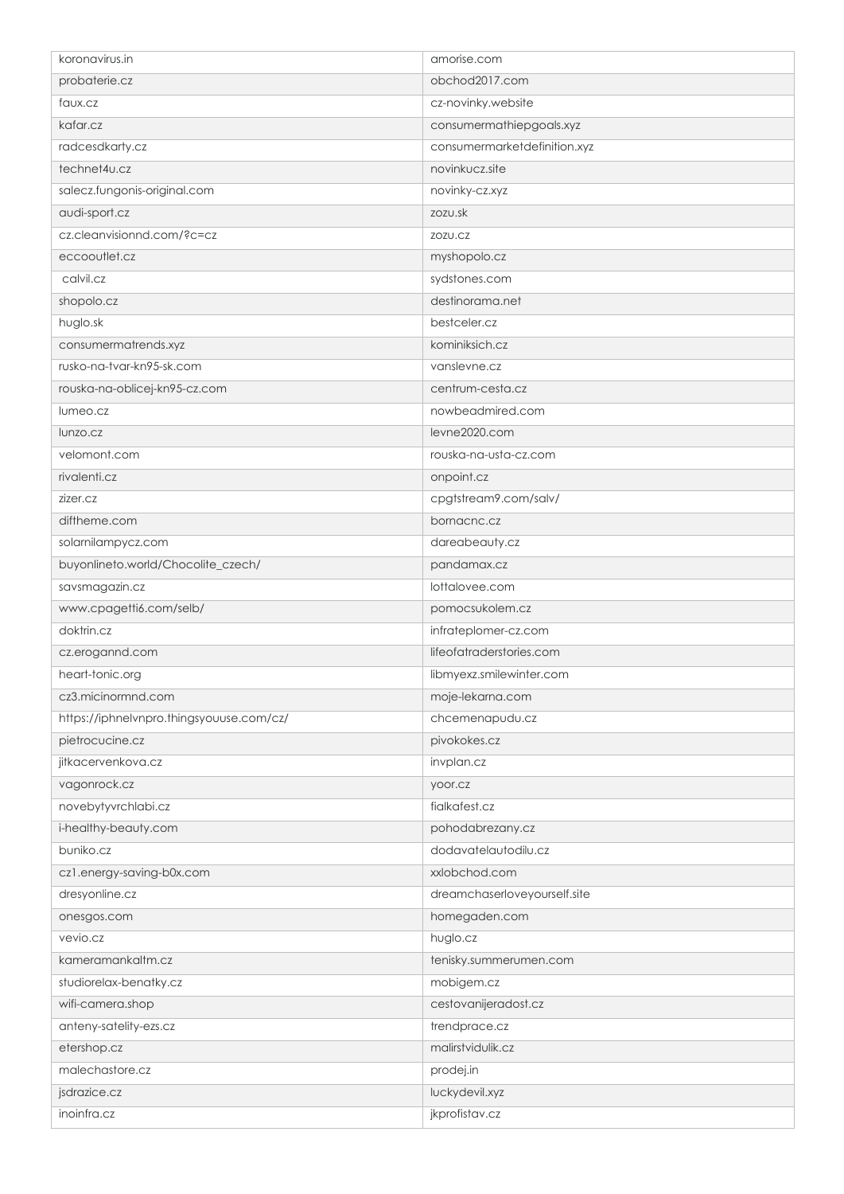| koronavirus.in                           | amorise.com                  |
|------------------------------------------|------------------------------|
| probaterie.cz                            | obchod2017.com               |
| faux.cz                                  | cz-novinky.website           |
| kafar.cz                                 | consumermathiepgoals.xyz     |
| radcesdkarty.cz                          | consumermarketdefinition.xyz |
| technet4u.cz                             | novinkucz.site               |
| salecz.fungonis-original.com             | novinky-cz.xyz               |
| audi-sport.cz                            | zozu.sk                      |
| cz.cleanvisionnd.com/?c=cz               | ZOZU.CZ                      |
| eccooutlet.cz                            | myshopolo.cz                 |
| calvil.cz                                | sydstones.com                |
| shopolo.cz                               | destinorama.net              |
| huglo.sk                                 | bestceler.cz                 |
| consumermatrends.xyz                     | kominiksich.cz               |
| rusko-na-tvar-kn95-sk.com                | vanslevne.cz                 |
| rouska-na-oblicej-kn95-cz.com            | centrum-cesta.cz             |
| lumeo.cz                                 | nowbeadmired.com             |
| lunzo.cz                                 | levne2020.com                |
| velomont.com                             | rouska-na-usta-cz.com        |
| rivalenti.cz                             | onpoint.cz                   |
| zizer.cz                                 | cpgtstream9.com/salv/        |
| diftheme.com                             | bornacnc.cz                  |
| solarnilampycz.com                       | dareabeauty.cz               |
| buyonlineto.world/Chocolite_czech/       | pandamax.cz                  |
| savsmagazin.cz                           | lottalovee.com               |
| www.cpagetti6.com/selb/                  | pomocsukolem.cz              |
| doktrin.cz                               | infrateplomer-cz.com         |
| cz.erogannd.com                          | lifeofatraderstories.com     |
| heart-tonic.org                          | libmyexz.smilewinter.com     |
| cz3.micinormnd.com                       | moje-lekarna.com             |
| https://iphnelvnpro.thingsyouuse.com/cz/ | chcemenapudu.cz              |
| pietrocucine.cz                          | pivokokes.cz                 |
| jitkacervenkova.cz                       | invplan.cz                   |
| vagonrock.cz                             | yoor.cz                      |
| novebytyvrchlabi.cz                      | fialkafest.cz                |
| i-healthy-beauty.com                     | pohodabrezany.cz             |
| buniko.cz                                | dodavatelautodilu.cz         |
| cz1.energy-saving-b0x.com                | xxlobchod.com                |
| dresyonline.cz                           | dreamchaserloveyourself.site |
| onesgos.com                              | homegaden.com                |
| vevio.cz                                 | huglo.cz                     |
| kameramankaltm.cz                        | tenisky.summerumen.com       |
| studiorelax-benatky.cz                   | mobigem.cz                   |
| wifi-camera.shop                         | cestovanijeradost.cz         |
| anteny-satelity-ezs.cz                   | trendprace.cz                |
| etershop.cz                              | malirstvidulik.cz            |
| malechastore.cz                          | prodej.in                    |
| jsdrazice.cz                             | luckydevil.xyz               |
| inoinfra.cz                              | jkprofistav.cz               |